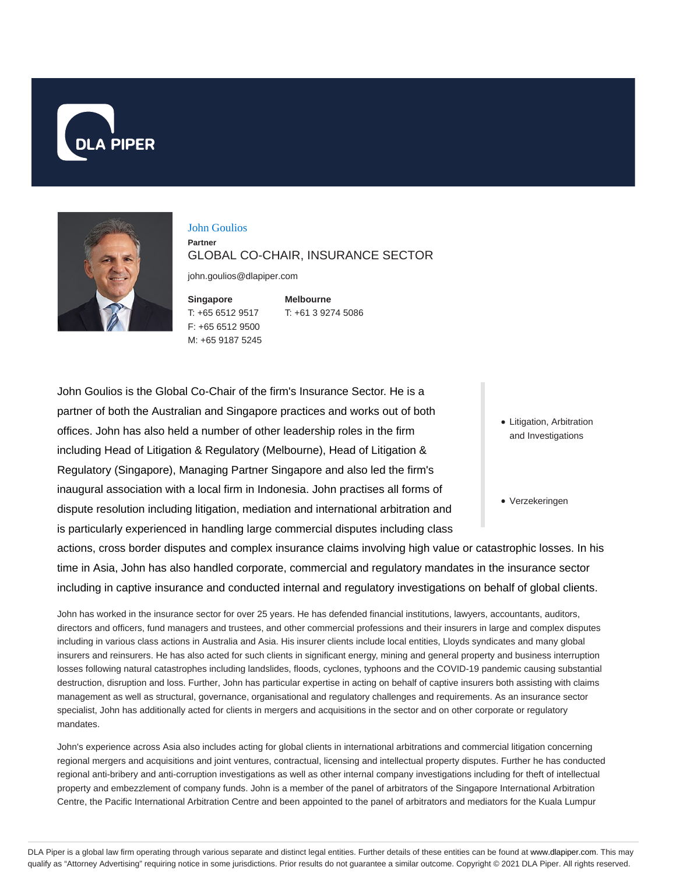



#### John Goulios

#### **Partner** GLOBAL CO-CHAIR, INSURANCE SECTOR

john.goulios@dlapiper.com

**Singapore** T: +65 6512 9517 F: +65 6512 9500 M: +65 9187 5245

**Melbourne** T: +61 3 9274 5086

John Goulios is the Global Co-Chair of the firm's Insurance Sector. He is a partner of both the Australian and Singapore practices and works out of both offices. John has also held a number of other leadership roles in the firm including Head of Litigation & Regulatory (Melbourne), Head of Litigation & Regulatory (Singapore), Managing Partner Singapore and also led the firm's inaugural association with a local firm in Indonesia. John practises all forms of dispute resolution including litigation, mediation and international arbitration and is particularly experienced in handling large commercial disputes including class

- Litigation, Arbitration and Investigations
- Verzekeringen

actions, cross border disputes and complex insurance claims involving high value or catastrophic losses. In his time in Asia, John has also handled corporate, commercial and regulatory mandates in the insurance sector including in captive insurance and conducted internal and regulatory investigations on behalf of global clients.

John has worked in the insurance sector for over 25 years. He has defended financial institutions, lawyers, accountants, auditors, directors and officers, fund managers and trustees, and other commercial professions and their insurers in large and complex disputes including in various class actions in Australia and Asia. His insurer clients include local entities, Lloyds syndicates and many global insurers and reinsurers. He has also acted for such clients in significant energy, mining and general property and business interruption losses following natural catastrophes including landslides, floods, cyclones, typhoons and the COVID-19 pandemic causing substantial destruction, disruption and loss. Further, John has particular expertise in acting on behalf of captive insurers both assisting with claims management as well as structural, governance, organisational and regulatory challenges and requirements. As an insurance sector specialist, John has additionally acted for clients in mergers and acquisitions in the sector and on other corporate or regulatory mandates.

John's experience across Asia also includes acting for global clients in international arbitrations and commercial litigation concerning regional mergers and acquisitions and joint ventures, contractual, licensing and intellectual property disputes. Further he has conducted regional anti-bribery and anti-corruption investigations as well as other internal company investigations including for theft of intellectual property and embezzlement of company funds. John is a member of the panel of arbitrators of the Singapore International Arbitration Centre, the Pacific International Arbitration Centre and been appointed to the panel of arbitrators and mediators for the Kuala Lumpur

DLA Piper is a global law firm operating through various separate and distinct legal entities. Further details of these entities can be found at www.dlapiper.com. This may qualify as "Attorney Advertising" requiring notice in some jurisdictions. Prior results do not guarantee a similar outcome. Copyright © 2021 DLA Piper. All rights reserved.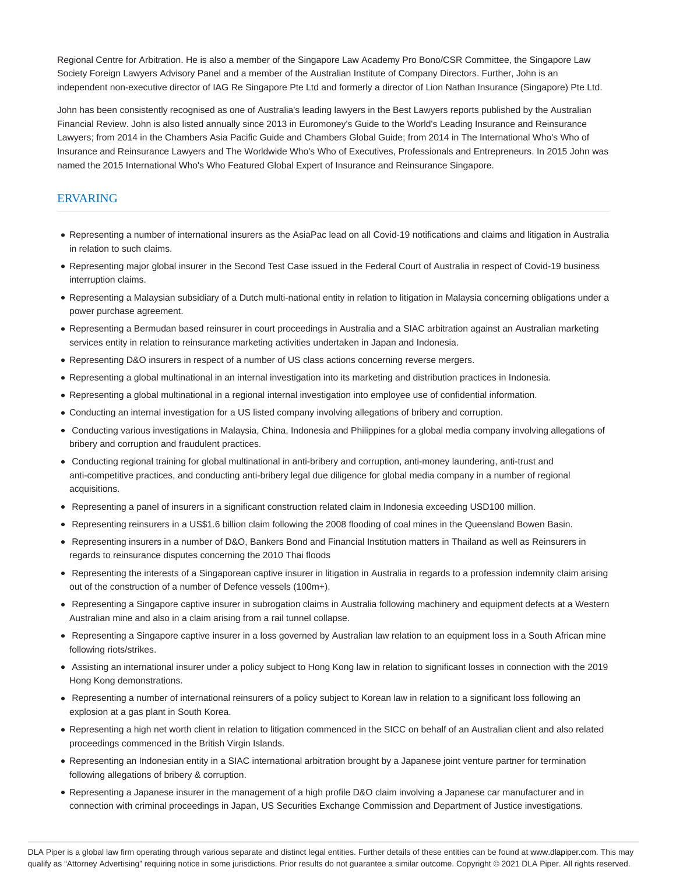Regional Centre for Arbitration. He is also a member of the Singapore Law Academy Pro Bono/CSR Committee, the Singapore Law Society Foreign Lawyers Advisory Panel and a member of the Australian Institute of Company Directors. Further, John is an independent non-executive director of IAG Re Singapore Pte Ltd and formerly a director of Lion Nathan Insurance (Singapore) Pte Ltd.

John has been consistently recognised as one of Australia's leading lawyers in the Best Lawyers reports published by the Australian Financial Review. John is also listed annually since 2013 in Euromoney's Guide to the World's Leading Insurance and Reinsurance Lawyers; from 2014 in the Chambers Asia Pacific Guide and Chambers Global Guide; from 2014 in The International Who's Who of Insurance and Reinsurance Lawyers and The Worldwide Who's Who of Executives, Professionals and Entrepreneurs. In 2015 John was named the 2015 International Who's Who Featured Global Expert of Insurance and Reinsurance Singapore.

#### ERVARING

- Representing a number of international insurers as the AsiaPac lead on all Covid-19 notifications and claims and litigation in Australia in relation to such claims.
- Representing major global insurer in the Second Test Case issued in the Federal Court of Australia in respect of Covid-19 business interruption claims.
- Representing a Malaysian subsidiary of a Dutch multi-national entity in relation to litigation in Malaysia concerning obligations under a power purchase agreement.
- Representing a Bermudan based reinsurer in court proceedings in Australia and a SIAC arbitration against an Australian marketing services entity in relation to reinsurance marketing activities undertaken in Japan and Indonesia.
- Representing D&O insurers in respect of a number of US class actions concerning reverse mergers.
- Representing a global multinational in an internal investigation into its marketing and distribution practices in Indonesia.
- Representing a global multinational in a regional internal investigation into employee use of confidential information.
- Conducting an internal investigation for a US listed company involving allegations of bribery and corruption.
- Conducting various investigations in Malaysia, China, Indonesia and Philippines for a global media company involving allegations of bribery and corruption and fraudulent practices.
- Conducting regional training for global multinational in anti-bribery and corruption, anti-money laundering, anti-trust and anti-competitive practices, and conducting anti-bribery legal due diligence for global media company in a number of regional acquisitions.
- Representing a panel of insurers in a significant construction related claim in Indonesia exceeding USD100 million.
- Representing reinsurers in a US\$1.6 billion claim following the 2008 flooding of coal mines in the Queensland Bowen Basin.
- Representing insurers in a number of D&O, Bankers Bond and Financial Institution matters in Thailand as well as Reinsurers in regards to reinsurance disputes concerning the 2010 Thai floods
- Representing the interests of a Singaporean captive insurer in litigation in Australia in regards to a profession indemnity claim arising out of the construction of a number of Defence vessels (100m+).
- Representing a Singapore captive insurer in subrogation claims in Australia following machinery and equipment defects at a Western Australian mine and also in a claim arising from a rail tunnel collapse.
- Representing a Singapore captive insurer in a loss governed by Australian law relation to an equipment loss in a South African mine following riots/strikes.
- Assisting an international insurer under a policy subject to Hong Kong law in relation to significant losses in connection with the 2019 Hong Kong demonstrations.
- Representing a number of international reinsurers of a policy subject to Korean law in relation to a significant loss following an explosion at a gas plant in South Korea.
- Representing a high net worth client in relation to litigation commenced in the SICC on behalf of an Australian client and also related proceedings commenced in the British Virgin Islands.
- Representing an Indonesian entity in a SIAC international arbitration brought by a Japanese joint venture partner for termination following allegations of bribery & corruption.
- Representing a Japanese insurer in the management of a high profile D&O claim involving a Japanese car manufacturer and in connection with criminal proceedings in Japan, US Securities Exchange Commission and Department of Justice investigations.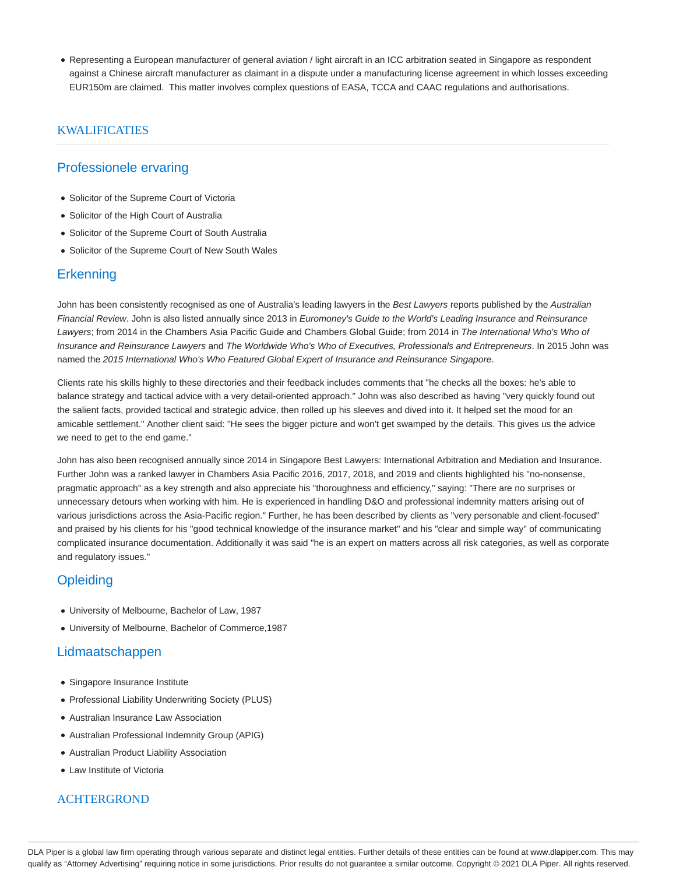Representing a European manufacturer of general aviation / light aircraft in an ICC arbitration seated in Singapore as respondent against a Chinese aircraft manufacturer as claimant in a dispute under a manufacturing license agreement in which losses exceeding EUR150m are claimed. This matter involves complex questions of EASA, TCCA and CAAC regulations and authorisations.

### KWALIFICATIES

## Professionele ervaring

- Solicitor of the Supreme Court of Victoria
- Solicitor of the High Court of Australia
- Solicitor of the Supreme Court of South Australia
- Solicitor of the Supreme Court of New South Wales

#### **Erkenning**

John has been consistently recognised as one of Australia's leading lawyers in the Best Lawyers reports published by the Australian Financial Review. John is also listed annually since 2013 in Euromoney's Guide to the World's Leading Insurance and Reinsurance Lawyers; from 2014 in the Chambers Asia Pacific Guide and Chambers Global Guide; from 2014 in The International Who's Who of Insurance and Reinsurance Lawyers and The Worldwide Who's Who of Executives, Professionals and Entrepreneurs. In 2015 John was named the 2015 International Who's Who Featured Global Expert of Insurance and Reinsurance Singapore.

Clients rate his skills highly to these directories and their feedback includes comments that "he checks all the boxes: he's able to balance strategy and tactical advice with a very detail-oriented approach." John was also described as having "very quickly found out the salient facts, provided tactical and strategic advice, then rolled up his sleeves and dived into it. It helped set the mood for an amicable settlement." Another client said: "He sees the bigger picture and won't get swamped by the details. This gives us the advice we need to get to the end game."

John has also been recognised annually since 2014 in Singapore Best Lawyers: International Arbitration and Mediation and Insurance. Further John was a ranked lawyer in Chambers Asia Pacific 2016, 2017, 2018, and 2019 and clients highlighted his "no-nonsense, pragmatic approach" as a key strength and also appreciate his "thoroughness and efficiency," saying: "There are no surprises or unnecessary detours when working with him. He is experienced in handling D&O and professional indemnity matters arising out of various jurisdictions across the Asia-Pacific region." Further, he has been described by clients as "very personable and client-focused" and praised by his clients for his "good technical knowledge of the insurance market" and his "clear and simple way" of communicating complicated insurance documentation. Additionally it was said "he is an expert on matters across all risk categories, as well as corporate and regulatory issues."

## **Opleiding**

- University of Melbourne, Bachelor of Law, 1987
- University of Melbourne, Bachelor of Commerce,1987

## Lidmaatschappen

- Singapore Insurance Institute
- Professional Liability Underwriting Society (PLUS)
- Australian Insurance Law Association
- Australian Professional Indemnity Group (APIG)
- Australian Product Liability Association
- Law Institute of Victoria

#### ACHTERGROND

DLA Piper is a global law firm operating through various separate and distinct legal entities. Further details of these entities can be found at www.dlapiper.com. This may qualify as "Attorney Advertising" requiring notice in some jurisdictions. Prior results do not guarantee a similar outcome. Copyright @ 2021 DLA Piper. All rights reserved.